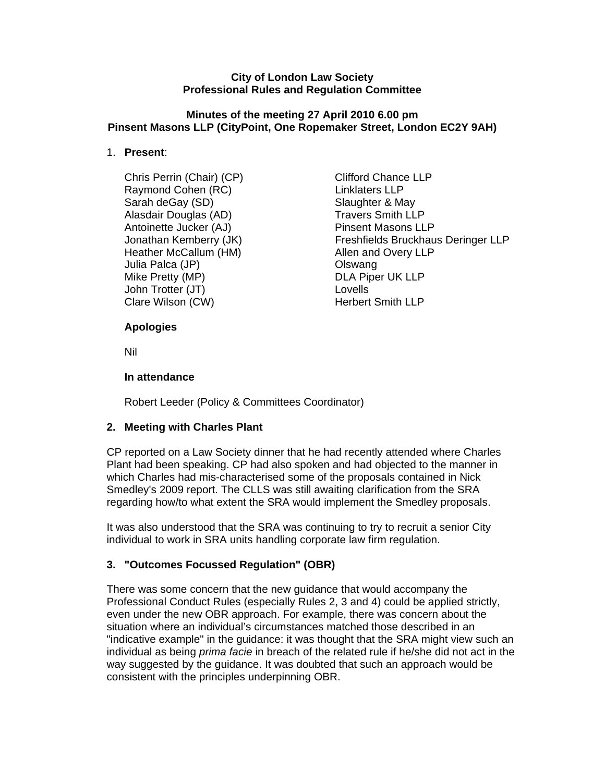#### **City of London Law Society Professional Rules and Regulation Committee**

#### **Minutes of the meeting 27 April 2010 6.00 pm Pinsent Masons LLP (CityPoint, One Ropemaker Street, London EC2Y 9AH)**

### 1. **Present**:

- Chris Perrin (Chair) (CP) Clifford Chance LLP Raymond Cohen (RC) **Linklaters LLP** Sarah deGay (SD) Slaughter & May Alasdair Douglas (AD) Travers Smith LLP Antoinette Jucker (AJ) entitled and the Pinsent Masons LLP Heather McCallum (HM) Allen and Overy LLP Julia Palca (JP) Olswang Mike Pretty (MP) DLA Piper UK LLP John Trotter (JT) Lovells Clare Wilson (CW) Therbert Smith LLP
- Jonathan Kemberry (JK) Freshfields Bruckhaus Deringer LLP

### **Apologies**

Nil

### **In attendance**

Robert Leeder (Policy & Committees Coordinator)

## **2. Meeting with Charles Plant**

CP reported on a Law Society dinner that he had recently attended where Charles Plant had been speaking. CP had also spoken and had objected to the manner in which Charles had mis-characterised some of the proposals contained in Nick Smedley's 2009 report. The CLLS was still awaiting clarification from the SRA regarding how/to what extent the SRA would implement the Smedley proposals.

It was also understood that the SRA was continuing to try to recruit a senior City individual to work in SRA units handling corporate law firm regulation.

# **3. "Outcomes Focussed Regulation" (OBR)**

There was some concern that the new guidance that would accompany the Professional Conduct Rules (especially Rules 2, 3 and 4) could be applied strictly, even under the new OBR approach. For example, there was concern about the situation where an individual's circumstances matched those described in an "indicative example" in the guidance: it was thought that the SRA might view such an individual as being *prima facie* in breach of the related rule if he/she did not act in the way suggested by the guidance. It was doubted that such an approach would be consistent with the principles underpinning OBR.